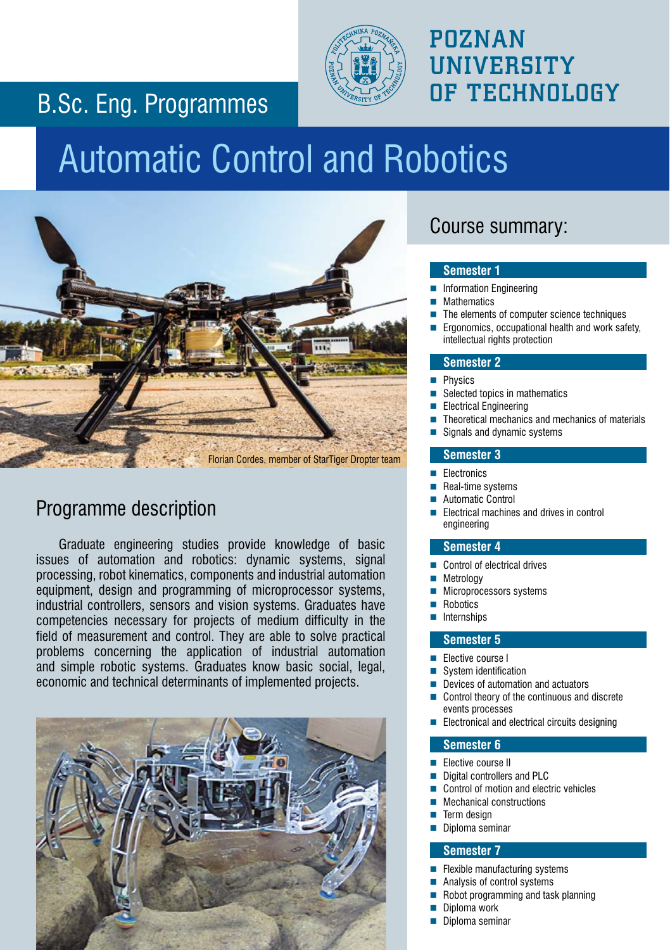### B.Sc. Eng. Programmes



## POZNAN **UNIVERSITY**

# Automatic Control and Robotics



### Programme description

Graduate engineering studies provide knowledge of basic issues of automation and robotics: dynamic systems, signal processing, robot kinematics, components and industrial automation equipment, design and programming of microprocessor systems, industrial controllers, sensors and vision systems. Graduates have competencies necessary for projects of medium difficulty in the field of measurement and control. They are able to solve practical problems concerning the application of industrial automation and simple robotic systems. Graduates know basic social, legal, economic and technical determinants of implemented projects.



### Course summary:

#### **Semester 1**

- Information Engineering
- **Mathematics**
- The elements of computer science techniques
- Ergonomics, occupational health and work safety, intellectual rights protection

#### **Semester 2**

- Physics
- Selected topics in mathematics
- Electrical Engineering
- Theoretical mechanics and mechanics of materials
- Signals and dynamic systems

#### **Semester 3**

- **Electronics**
- Real-time systems
- Automatic Control
- Electrical machines and drives in control engineering

#### **Semester 4**

- Control of electrical drives
- Metrology
- Microprocessors systems
- Robotics
- Internships

#### **Semester 5**

- Elective course I
- System identification
- Devices of automation and actuators
- Control theory of the continuous and discrete events processes
- Electronical and electrical circuits designing

#### **Semester 6**

- Elective course II
- Digital controllers and PLC
- Control of motion and electric vehicles
- Mechanical constructions
- Term design
- Diploma seminar

#### **Semester 7**

- Flexible manufacturing systems
- Analysis of control systems
- Robot programming and task planning
- Diploma work
- Diploma seminar